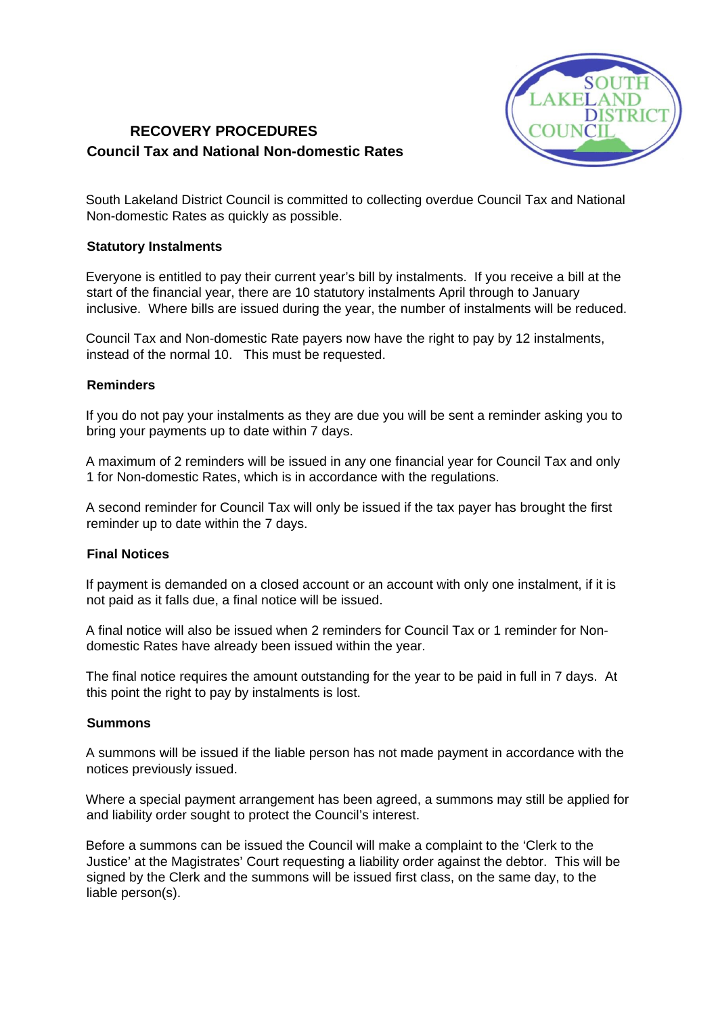

# **RECOVERY PROCEDURES Council Tax and National Non-domestic Rates**

South Lakeland District Council is committed to collecting overdue Council Tax and National Non-domestic Rates as quickly as possible.

## **Statutory Instalments**

Everyone is entitled to pay their current year's bill by instalments. If you receive a bill at the start of the financial year, there are 10 statutory instalments April through to January inclusive. Where bills are issued during the year, the number of instalments will be reduced.

Council Tax and Non-domestic Rate payers now have the right to pay by 12 instalments, instead of the normal 10. This must be requested.

### **Reminders**

If you do not pay your instalments as they are due you will be sent a reminder asking you to bring your payments up to date within 7 days.

A maximum of 2 reminders will be issued in any one financial year for Council Tax and only 1 for Non-domestic Rates, which is in accordance with the regulations.

A second reminder for Council Tax will only be issued if the tax payer has brought the first reminder up to date within the 7 days.

## **Final Notices**

If payment is demanded on a closed account or an account with only one instalment, if it is not paid as it falls due, a final notice will be issued.

A final notice will also be issued when 2 reminders for Council Tax or 1 reminder for Nondomestic Rates have already been issued within the year.

The final notice requires the amount outstanding for the year to be paid in full in 7 days. At this point the right to pay by instalments is lost.

### **Summons**

A summons will be issued if the liable person has not made payment in accordance with the notices previously issued.

Where a special payment arrangement has been agreed, a summons may still be applied for and liability order sought to protect the Council's interest.

Before a summons can be issued the Council will make a complaint to the 'Clerk to the Justice' at the Magistrates' Court requesting a liability order against the debtor. This will be signed by the Clerk and the summons will be issued first class, on the same day, to the liable person(s).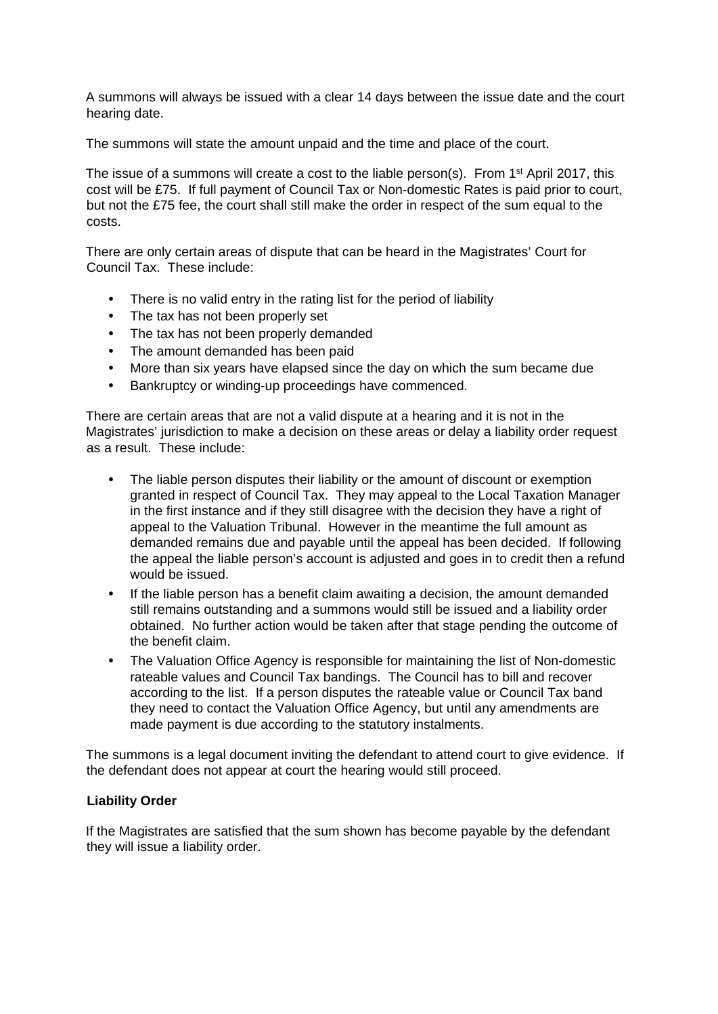A summons will always be issued with a clear 14 days between the issue date and the court hearing date.

The summons will state the amount unpaid and the time and place of the court.

The issue of a summons will create a cost to the liable person(s). From  $1<sup>st</sup>$  April 2017, this cost will be £75. If full payment of Council Tax or Non-domestic Rates is paid prior to court, but not the £75 fee, the court shall still make the order in respect of the sum equal to the costs.

There are only certain areas of dispute that can be heard in the Magistrates' Court for Council Tax. These include:

- There is no valid entry in the rating list for the period of liability
- The tax has not been properly set
- The tax has not been properly demanded
- The amount demanded has been paid
- More than six years have elapsed since the day on which the sum became due
- Bankruptcy or winding-up proceedings have commenced.

There are certain areas that are not a valid dispute at a hearing and it is not in the Magistrates' jurisdiction to make a decision on these areas or delay a liability order request as a result. These include:

- The liable person disputes their liability or the amount of discount or exemption granted in respect of Council Tax. They may appeal to the Local Taxation Manager in the first instance and if they still disagree with the decision they have a right of appeal to the Valuation Tribunal. However in the meantime the full amount as demanded remains due and payable until the appeal has been decided. If following the appeal the liable person's account is adjusted and goes in to credit then a refund would be issued.
- If the liable person has a benefit claim awaiting a decision, the amount demanded still remains outstanding and a summons would still be issued and a liability order obtained. No further action would be taken after that stage pending the outcome of the benefit claim.
- The Valuation Office Agency is responsible for maintaining the list of Non-domestic rateable values and Council Tax bandings. The Council has to bill and recover according to the list. If a person disputes the rateable value or Council Tax band they need to contact the Valuation Office Agency, but until any amendments are made payment is due according to the statutory instalments.

The summons is a legal document inviting the defendant to attend court to give evidence. If the defendant does not appear at court the hearing would still proceed.

# **Liability Order**

If the Magistrates are satisfied that the sum shown has become payable by the defendant they will issue a liability order.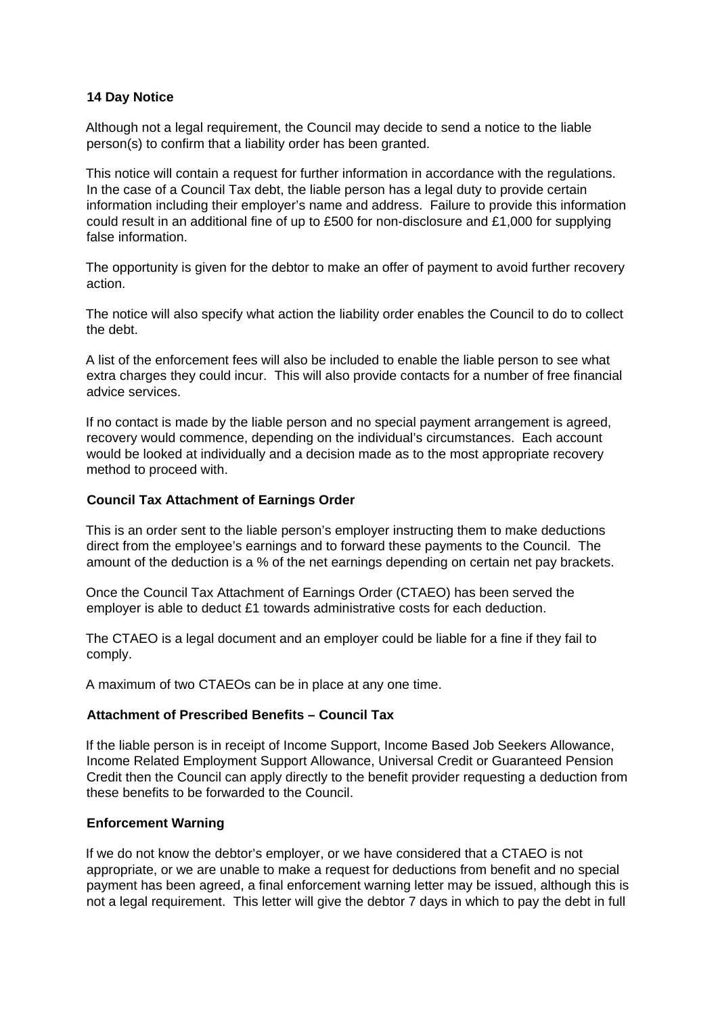# **14 Day Notice**

Although not a legal requirement, the Council may decide to send a notice to the liable person(s) to confirm that a liability order has been granted.

This notice will contain a request for further information in accordance with the regulations. In the case of a Council Tax debt, the liable person has a legal duty to provide certain information including their employer's name and address. Failure to provide this information could result in an additional fine of up to £500 for non-disclosure and £1,000 for supplying false information.

The opportunity is given for the debtor to make an offer of payment to avoid further recovery action.

The notice will also specify what action the liability order enables the Council to do to collect the debt.

A list of the enforcement fees will also be included to enable the liable person to see what extra charges they could incur. This will also provide contacts for a number of free financial advice services.

If no contact is made by the liable person and no special payment arrangement is agreed, recovery would commence, depending on the individual's circumstances. Each account would be looked at individually and a decision made as to the most appropriate recovery method to proceed with.

## **Council Tax Attachment of Earnings Order**

This is an order sent to the liable person's employer instructing them to make deductions direct from the employee's earnings and to forward these payments to the Council. The amount of the deduction is a % of the net earnings depending on certain net pay brackets.

Once the Council Tax Attachment of Earnings Order (CTAEO) has been served the employer is able to deduct £1 towards administrative costs for each deduction.

The CTAEO is a legal document and an employer could be liable for a fine if they fail to comply.

A maximum of two CTAEOs can be in place at any one time.

### **Attachment of Prescribed Benefits – Council Tax**

If the liable person is in receipt of Income Support, Income Based Job Seekers Allowance, Income Related Employment Support Allowance, Universal Credit or Guaranteed Pension Credit then the Council can apply directly to the benefit provider requesting a deduction from these benefits to be forwarded to the Council.

# **Enforcement Warning**

If we do not know the debtor's employer, or we have considered that a CTAEO is not appropriate, or we are unable to make a request for deductions from benefit and no special payment has been agreed, a final enforcement warning letter may be issued, although this is not a legal requirement. This letter will give the debtor 7 days in which to pay the debt in full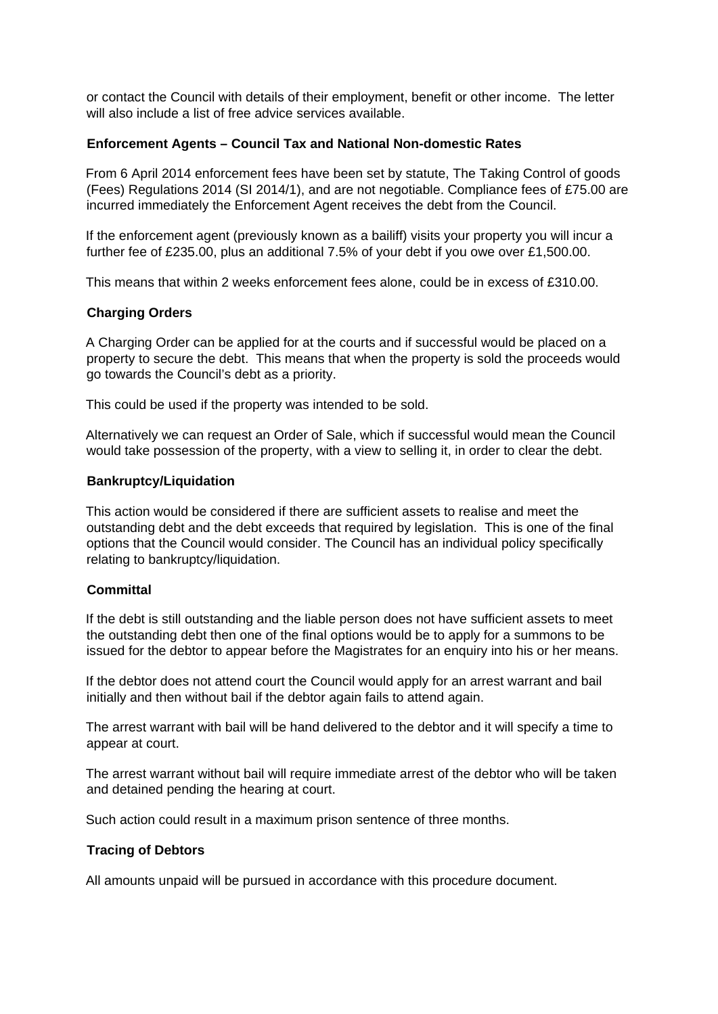or contact the Council with details of their employment, benefit or other income. The letter will also include a list of free advice services available.

#### **Enforcement Agents – Council Tax and National Non-domestic Rates**

From 6 April 2014 enforcement fees have been set by statute, The Taking Control of goods (Fees) Regulations 2014 (SI 2014/1), and are not negotiable. Compliance fees of £75.00 are incurred immediately the Enforcement Agent receives the debt from the Council.

If the enforcement agent (previously known as a bailiff) visits your property you will incur a further fee of £235.00, plus an additional 7.5% of your debt if you owe over £1,500.00.

This means that within 2 weeks enforcement fees alone, could be in excess of £310.00.

#### **Charging Orders**

A Charging Order can be applied for at the courts and if successful would be placed on a property to secure the debt. This means that when the property is sold the proceeds would go towards the Council's debt as a priority.

This could be used if the property was intended to be sold.

Alternatively we can request an Order of Sale, which if successful would mean the Council would take possession of the property, with a view to selling it, in order to clear the debt.

#### **Bankruptcy/Liquidation**

This action would be considered if there are sufficient assets to realise and meet the outstanding debt and the debt exceeds that required by legislation. This is one of the final options that the Council would consider. The Council has an individual policy specifically relating to bankruptcy/liquidation.

## **Committal**

If the debt is still outstanding and the liable person does not have sufficient assets to meet the outstanding debt then one of the final options would be to apply for a summons to be issued for the debtor to appear before the Magistrates for an enquiry into his or her means.

If the debtor does not attend court the Council would apply for an arrest warrant and bail initially and then without bail if the debtor again fails to attend again.

The arrest warrant with bail will be hand delivered to the debtor and it will specify a time to appear at court.

The arrest warrant without bail will require immediate arrest of the debtor who will be taken and detained pending the hearing at court.

Such action could result in a maximum prison sentence of three months.

#### **Tracing of Debtors**

All amounts unpaid will be pursued in accordance with this procedure document.